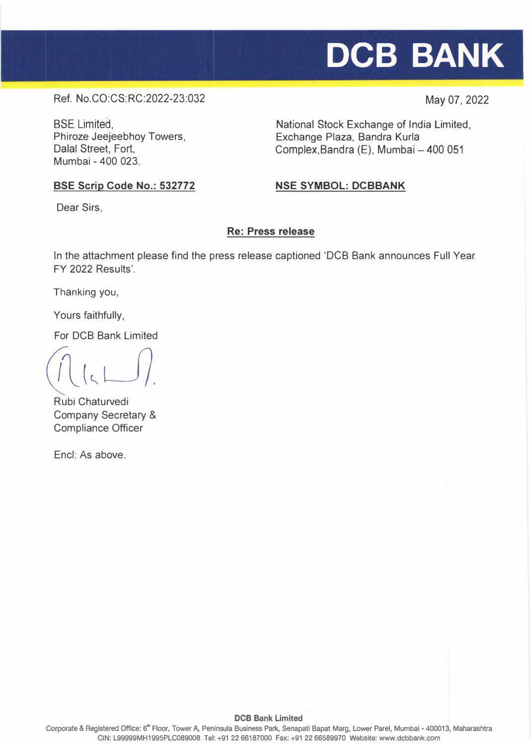May 07, 2022

# Ref. No.CO:CS:RC:2022-23:032

BSE Limited, Phiroze Jeejeebhoy Towers, Dalal Street, Fort, Mumbai - 400 023.

National Stock Exchange of India Limited, Exchange Plaza, Sandra Kurla Complex, Bandra  $(E)$ , Mumbai  $-400051$ 

# **BSE Scrip Code No.: 532772**

# **NSESYMBOL:DCBBANK**

Dear Sirs,

# **Re: Press release**

In the attachment please find the press release captioned 'DCB Bank announces Full Year FY 2022 Results'.

Thanking you,

Yours faithfully,

For DCB Bank Limited

 $\left(\frac{1}{2}\left(\frac{1}{2}\sum_{i=1}^{n}x_{i}\right)\right)$ 

Rubi Chaturvedi Company Secretary & Compliance Officer

Encl: As above.

Corporate & Registered Office: 6<sup>th</sup> Floor, Tower A, Peninsula Business Park, Senapati Bapat Marg, Lower Parel, Mumbai - 400013, Maharashtra CIN: L99999MH1995PLC089008 Tel: +91 22 66187000 Fax: +912266 589970 Website: www.dcbbank.com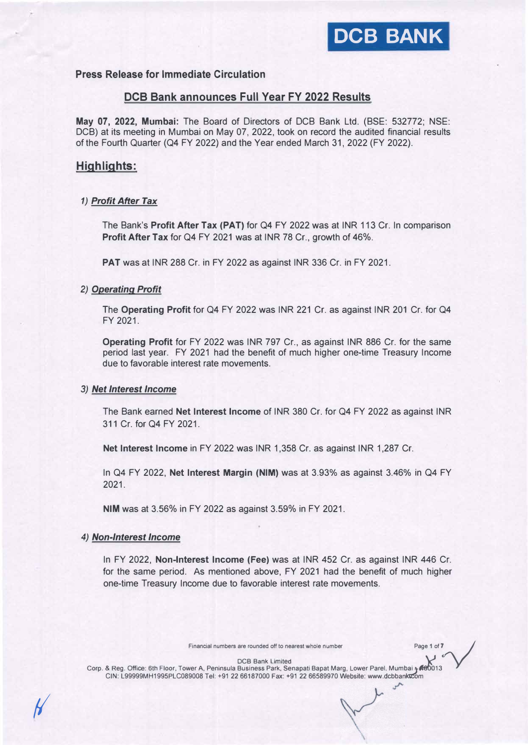# **Press Release for Immediate Circulation**

#### **DCB Bank announces Full Year FY 2022 Results**

**May 07, 2022, Mumbai:** The Board of Directors of DCB Bank Ltd. (BSE: 532772; NSE: DCB) at its meeting in Mumbai on May 07, 2022, took on record the audited financial results of the Fourth Quarter (Q4 FY 2022) and the Year ended March 31, 2022 (FY 2022).

## **Highlights:**

#### *1) Profit After Tax*

The Bank's **Profit After Tax (PAT)** for Q4 FY 2022 was at INR 113 Cr. In comparison **Profit After Tax** for Q4 FY 2021 was at INR 78 Cr., growth of 46%.

**PAT** was at INR 288 Cr. in FY 2022 as against INR 336 Cr. in FY 2021.

#### *2) Operating Profit*

The **Operating Profit** for Q4 FY 2022 was INR 221 Cr. as against INR 201 Cr. for Q4 FY 2021.

**Operating Profit** for FY 2022 was INR 797 Cr., as against INR 886 Cr. for the same period last year. FY 2021 had the benefit of much higher one-time Treasury Income due to favorable interest rate movements.

#### *3) Net Interest Income*

The Bank earned **Net Interest Income** of INR 380 Cr. for Q4 FY 2022 as against INR 311 Cr. for Q4 FY 2021.

**Net Interest Income** in FY 2022 was INR 1,358 Cr. as against INR 1,287 Cr.

In Q4 FY 2022, **Net Interest Margin (NIM)** was at 3.93% as against 3.46% in Q4 FY 2021.

**NIM** was at 3.56% in FY 2022 as against 3.59% in FY 2021.

#### *4) Non-Interest Income*

*fl* 

In FY 2022, **Non-Interest Income (Fee)** was at INR 452 Cr. as against INR 446 Cr. for the same period. As mentioned above, FY 2021 had the benefit of much higher one-time Treasury Income due to favorable interest rate movements.

Financial numbers are rounded off to nearest whole number Page 1 of 7

 $\mathcal{L}$ 

DCB Bank Limited

Financial numbers are rounded off to nearest whole number<br>
DCB Bank Limited<br>
COR Bank Limited<br>
CIN: 1999990MH1995PI C089008 Tel: +91 22 66187000 Fax: +91 22 66589970 Website: www.dcbbanknom CIN: L99999MH1995PLC089008 Tel: +91 22 66187000 Fax: +91 22 66589970 Website: www.dcbbanktcom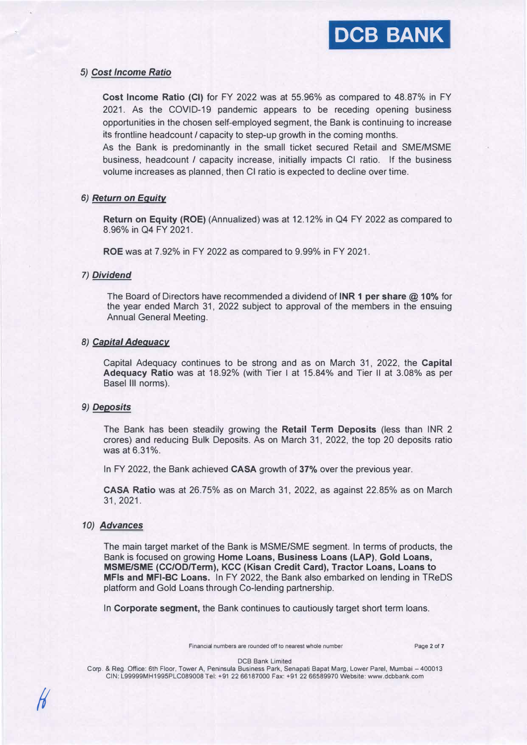#### *5) Cost Income Ratio*

**Cost Income Ratio (Cl)** for FY 2022 was at 55.96% as compared to 48.87% in FY 2021. As the COVID-19 pandemic appears to be receding opening business opportunities in the chosen self-employed segment, the Bank is continuing to increase its frontline headcount *I* capacity to step-up growth in the coming months.

As the Bank is predominantly in the small ticket secured Retail and SME/MSME business, headcount *I* capacity increase, initially impacts Cl ratio. If the business volume increases as planned, then Cl ratio is expected to decline over time.

#### *6) Return on Equity*

**Return on Equity (ROE)** (Annualized) was at 12.12% in Q4 FY 2022 as compared to 8.96% in Q4 FY 2021.

**ROE** was at 7.92% in FY 2022 as compared to 9.99% in FY 2021.

#### *7) Dividend*

The Board of Directors have recommended a dividend of **INR 1 per share @ 10%** for the year ended March 31, 2022 subject to approval of the members in the ensuing Annual General Meeting.

#### *8) Capital Adequacy*

Capital Adequacy continues to be strong and as on March 31, 2022, the **Capital Adequacy Ratio** was at 18.92% (with Tier I at 15.84% and Tier II at 3.08% as per Basel Ill norms).

#### *9) Deposits*

The Bank has been steadily growing the **Retail Term Deposits** (less than INR 2 crores) and reducing Bulk Deposits. As on March 31, 2022, the top 20 deposits ratio was at 6.31%.

In FY 2022, the Bank achieved **CASA** growth of **37%** over the previous year.

**CASA Ratio** was at 26.75% as on March 31, 2022, as against 22.85% as on March 31, 2021.

#### *10) Advances*

*!I* 

The main target market of the Bank is MSME/SME segment. In terms of products, the Bank is focused on growing **Home Loans, Business Loans (LAP), Gold Loans, MSME/SME (CC/OD/Term), KCC (Kisan Credit Card), Tractor Loans, Loans to MFls and MFI-BC Loans.** In FY 2022, the Bank also embarked on lending in TReDS platform and Gold Loans through Co-lending partnership.

In **Corporate segment,** the Bank continues to cautiously target short term loans.

Financial numbers are rounded off to nearest whole number Page 2 of 7

DCB Bank Limited

Corp. & Reg. Office: 6th Floor, Tower A, Peninsula Business Park, Senapati Bapat Marg, Lower Parel, Mumbai - 400013 CIN: L99999MH1995PLC089008 Tel: +91 2266187000 Fax: +91 22 66589970 Website: www.dcbbank.com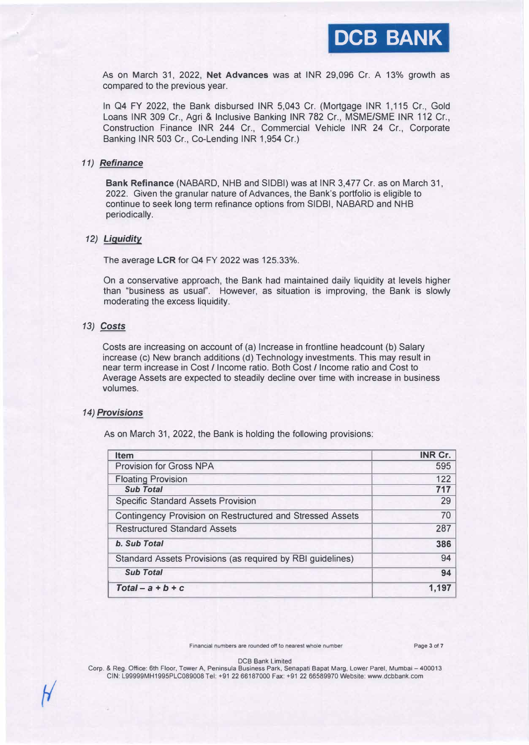

As on March 31, 2022, **Net Advances** was at INR 29,096 Cr. A 13% growth as compared to the previous year.

In Q4 FY 2022, the Bank disbursed INR 5,043 Cr. (Mortgage INR 1,115 Cr., Gold Loans INR 309 Cr., Agri & Inclusive Banking INR 782 Cr., MSME/SME INR 112 Cr., Construction Finance INR 244 Cr., Commercial Vehicle INR 24 Cr., Corporate Banking INR 503 Cr., Co-Lending INR 1,954 Cr.)

#### *11) Refinance*

**Bank Refinance** (NABARD, NHB and SIDBI) was at INR 3,477 Cr. as on March 31, 2022. Given the granular nature of Advances, the Bank's portfolio is eligible to continue to seek long term refinance options from SIDBI, NABARD and NHB periodically.

#### *12) Liquidity*

The average **LCR** for Q4 FY 2022 was 125.33%.

On a conservative approach, the Bank had maintained daily liquidity at levels higher than "business as usual". However, as situation is improving, the Bank is slowly moderating the excess liquidity.

### *13) Costs*

Costs are increasing on account of (a) Increase in frontline headcount (b) Salary increase (c) New branch additions (d) Technology investments. This may result in near term increase in Cost/ Income ratio. Both Cost/ Income ratio and Cost to Average Assets are expected to steadily decline over time with increase in business volumes.

#### *14) Provisions*

As on March 31, 2022, the Bank is holding the following provisions:

| <b>Item</b>                                                | INR Cr. |
|------------------------------------------------------------|---------|
| <b>Provision for Gross NPA</b>                             | 595     |
| <b>Floating Provision</b>                                  | 122     |
| <b>Sub Total</b>                                           | 717     |
| <b>Specific Standard Assets Provision</b>                  | 29      |
| Contingency Provision on Restructured and Stressed Assets  | 70      |
| <b>Restructured Standard Assets</b>                        | 287     |
| <b>b. Sub Total</b>                                        | 386     |
| Standard Assets Provisions (as required by RBI guidelines) | 94      |
| <b>Sub Total</b>                                           | 94      |
| $Total - a + b + c$                                        | 1,197   |

Financial numbers are rounded off to nearest whole number Page 3 of 7

DCB Bank Limited

Corp. & Reg. Office: 6th Floor, Tower A, Peninsula Business Park, Senapati Bapat Marg, Lower Pare!, Mumbai - 400013 CIN: L99999MH1995PLC089008 Tel: +9122 66187000 Fax: +91 22 66589970 Website: www.dcbbank.com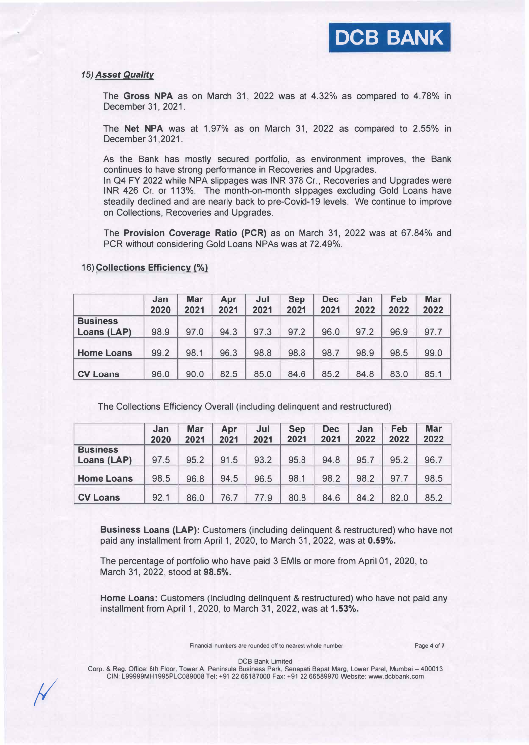#### *15) Asset Quality*

The **Gross NPA** as on March 31, 2022 was at 4.32% as compared to 4.78% in December 31, 2021.

The **Net NPA** was at 1.97% as on March 31, 2022 as compared to 2.55% in December 31,2021.

As the Bank has mostly secured portfolio, as environment improves, the Bank continues to have strong performance in Recoveries and Upgrades.

In Q4 FY 2022 while NPA slippages was INR 378 Cr., Recoveries and Upgrades were INR 426 Cr. or 113%. The month-on-month slippages excluding Gold Loans have steadily declined and are nearly back to pre-Covid-19 levels. We continue to improve on Collections, Recoveries and Upgrades.

The **Provision Coverage Ratio (PCR)** as on March 31, 2022 was at 67.84% and PCR without considering Gold Loans NPAs was at 72.49%.

|                                | Jan<br>2020 | <b>Mar</b><br>2021 | Apr<br>2021 | Jul<br>2021 | <b>Sep</b><br>2021 | <b>Dec</b><br>2021 | Jan<br>2022 | Feb<br>2022 | <b>Mar</b><br>2022 |
|--------------------------------|-------------|--------------------|-------------|-------------|--------------------|--------------------|-------------|-------------|--------------------|
| <b>Business</b><br>Loans (LAP) | 98.9        | 97.0               | 94.3        | 97.3        | 97.2               | 96.0               | 97.2        | 96.9        | 97.7               |
| <b>Home Loans</b>              | 99.2        | 98.1               | 96.3        | 98.8        | 98.8               | 98.7               | 98.9        | 98.5        | 99.0               |
| <b>CV Loans</b>                | 96.0        | 90.0               | 82.5        | 85.0        | 84.6               | 85.2               | 84.8        | 83.0        | 85.1               |

#### 16) **Collections Efficiency(%)**

 $\frac{1}{2}$ 

The Collections Efficiency Overall (including delinquent and restructured)

|                                | Jan<br>2020 | <b>Mar</b><br>2021 | Apr<br>2021 | Jul<br>2021 | <b>Sep</b><br>2021 | <b>Dec</b><br>2021 | Jan<br>2022 | Feb<br>2022 | <b>Mar</b><br>2022 |
|--------------------------------|-------------|--------------------|-------------|-------------|--------------------|--------------------|-------------|-------------|--------------------|
| <b>Business</b><br>Loans (LAP) | 97.5        | 95.2               | 91.5        | 93.2        | 95.8               | 94.8               | 95.7        | 95.2        | 96.7               |
| <b>Home Loans</b>              | 98.5        | 96.8               | 94.5        | 96.5        | 98.1               | 98.2               | 98.2        | 97.7        | 98.5               |
| <b>CV Loans</b>                | 92.1        | 86.0               | 76.7        | 77.9        | 80.8               | 84.6               | 84.2        | 82.0        | 85.2               |

**Business Loans (LAP):** Customers (including delinquent & restructured) who have not paid any installment from April 1, 2020, to March 31, 2022, was at **0.59%.** 

The percentage of portfolio who have paid 3 EMls or more from April 01, 2020, to March 31, 2022, stood at **98.5%.** 

**Home Loans:** Customers (including delinquent & restructured) who have not paid any installment from April 1, 2020, to March 31, 2022, was at **1.53%.** 

Financial numbers are rounded off to nearest whole number Page 4 of 7

DCB Bank Limited

Corp. & Reg. Office: 6th Floor, Tower A, Peninsula Business Park, Senapati Bapat Marg, Lower Parel, Mumbai - 400013 CIN: L99g99MH1995PLC089008 Tel: +91 2266187000 Fax: +91 2266589970 Website: www.dcbbank.com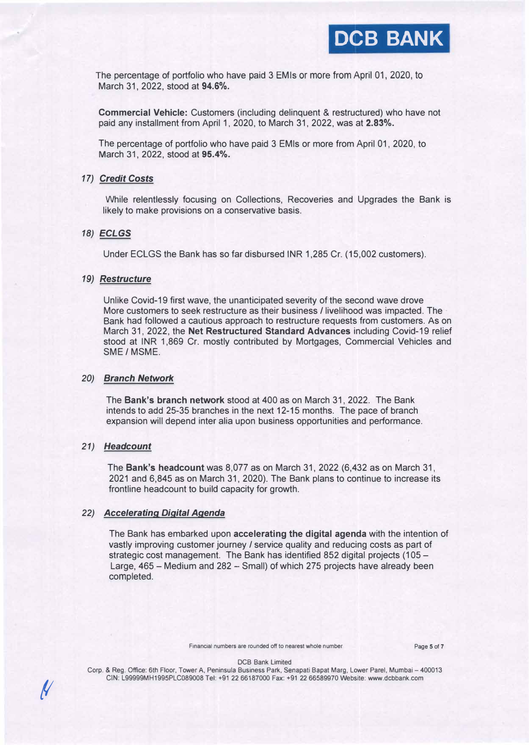

The percentage of portfolio who have paid 3 EM ls or more from April 01, 2020, to March 31, 2022, stood at **94.6%.** 

**Commercial Vehicle:** Customers (including delinquent & restructured) who have not paid any installment from April 1, 2020, to March 31, 2022, was at **2.83%.** 

The percentage of portfolio who have paid 3 EMls or more from April 01, 2020, to March 31, 2022, stood at **95.4%.** 

#### *17) Credit Costs*

While relentlessly focusing on Collections, Recoveries and Upgrades the Bank is likely to make provisions on a conservative basis.

#### *18) ECLGS*

Under ECLGS the Bank has so far disbursed INR 1,285 Cr. (15,002 customers).

#### *19) Restructure*

Unlike Covid-19 first wave, the unanticipated severity of the second wave drove More customers to seek restructure as their business/ livelihood was impacted. The Bank had followed a cautious approach to restructure requests from customers. As on March 31, 2022, the **Net Restructured Standard Advances** including Covid-19 relief stood at INR 1,869 Cr. mostly contributed by Mortgages, Commercial Vehicles and SME / MSME.

#### *20) Branch Network*

The **Bank's branch network** stood at 400 as on March 31, 2022. The Bank intends to add 25-35 branches in the next 12-15 months. The pace of branch expansion will depend inter alia upon business opportunities and performance.

#### *21) Headcount*

*(I* 

The **Bank's headcount** was 8,077 as on March 31, 2022 (6,432 as on March 31, 2021 and 6,845 as on March 31, 2020). The Bank plans to continue to increase its frontline headcount to build capacity for growth.

#### *22) Accelerating Digital Agenda*

The Bank has embarked upon **accelerating the digital agenda** with the intention of vastly improving customer journey / service quality and reducing costs as part of strategic cost management. The Bank has identified 852 digital projects (105 -Large, 465 - Medium and 282 - Small) of which 275 projects have already been completed.

Financial numbers are rounded off to nearest whole number Page 5 of 7

DCB Bank Limited

Corp. & Reg. Office: 6th Floor, Tower A, Peninsula Business Park, Senapati Bapat Marg, Lower Parel, Mumbai - 400013 CIN: L99999MH1995PLC089008 Tel: +912266187000 Fax: +91 22 66589970 Website: www.dcbbank.com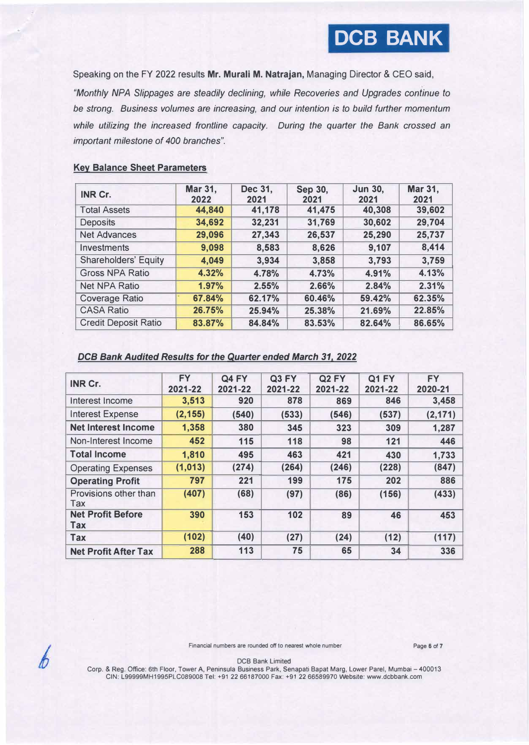Speaking on the FY 2022 results **Mr. Murali M. Natrajan,** Managing Director **&** CEO said,

*"Monthly NPA Slippages are steadily declining, while Recoveries and Upgrades continue to be strong. Business volumes are increasing, and our intention is to build further momentum while utilizing the increased frontline capacity. During the quarter the Bank crossed an important milestone of 400 branches".* 

#### **Key Balance Sheet Parameters**

| <b>INR Cr.</b>              | Mar 31,<br>2022 | Dec 31,<br>2021 | Sep 30,<br>2021 | <b>Jun 30,</b><br>2021 | <b>Mar 31,</b><br>2021 |
|-----------------------------|-----------------|-----------------|-----------------|------------------------|------------------------|
| <b>Total Assets</b>         | 44,840          | 41,178          | 41,475          | 40,308                 | 39,602                 |
| <b>Deposits</b>             | 34,692          | 32,231          | 31,769          | 30,602                 | 29,704                 |
| <b>Net Advances</b>         | 29,096          | 27,343          | 26,537          | 25,290                 | 25,737                 |
| Investments                 | 9,098           | 8,583           | 8,626           | 9,107                  | 8,414                  |
| <b>Shareholders' Equity</b> | 4,049           | 3,934           | 3,858           | 3,793                  | 3,759                  |
| <b>Gross NPA Ratio</b>      | 4.32%           | 4.78%           | 4.73%           | 4.91%                  | 4.13%                  |
| <b>Net NPA Ratio</b>        | 1.97%           | 2.55%           | 2.66%           | 2.84%                  | 2.31%                  |
| <b>Coverage Ratio</b>       | 67.84%          | 62.17%          | 60.46%          | 59.42%                 | 62.35%                 |
| <b>CASA Ratio</b>           | 26.75%          | 25.94%          | 25.38%          | 21.69%                 | 22.85%                 |
| <b>Credit Deposit Ratio</b> | 83.87%          | 84.84%          | 83.53%          | 82.64%                 | 86.65%                 |

# *DCB Bank Audited Results for the Quarter ended March 31,* 2022

| <b>INR Cr.</b>                         | <b>FY</b><br>2021-22 | Q4 FY<br>2021-22 | Q3 FY<br>2021-22 | Q <sub>2</sub> FY<br>2021-22 | Q1 FY<br>2021-22 | <b>FY</b><br>2020-21 |
|----------------------------------------|----------------------|------------------|------------------|------------------------------|------------------|----------------------|
| Interest Income                        | 3,513                | 920              | 878              | 869                          | 846              | 3,458                |
| <b>Interest Expense</b>                | (2, 155)             | (540)            | (533)            | (546)                        | (537)            | (2, 171)             |
| <b>Net Interest Income</b>             | 1,358                | 380              | 345              | 323                          | 309              | 1,287                |
| Non-Interest Income                    | 452                  | 115              | 118              | 98                           | 121              | 446                  |
| <b>Total Income</b>                    | 1,810                | 495              | 463              | 421                          | 430              | 1,733                |
| <b>Operating Expenses</b>              | (1,013)              | (274)            | (264)            | (246)                        | (228)            | (847)                |
| <b>Operating Profit</b>                | 797                  | 221              | 199              | 175                          | 202              | 886                  |
| Provisions other than<br>Tax           | (407)                | (68)             | (97)             | (86)                         | (156)            | (433)                |
| <b>Net Profit Before</b><br><b>Tax</b> | 390                  | 153              | 102              | 89                           | 46               | 453                  |
| <b>Tax</b>                             | (102)                | (40)             | (27)             | (24)                         | (12)             | (117)                |
| <b>Net Profit After Tax</b>            | 288                  | 113              | 75               | 65                           | 34               | 336                  |



Financial numbers are rounded off to nearest whole number Page 6 of 7

DCB Bank Limited

Corp. & Reg. Office: 6th Floor, Tower A, Peninsula Business Park, Senapati Bapat Marg, Lower Parel, Mumbai - 400013 CIN: L99999MH1995PLC089008 Tel: +912266187000 Fax: +91 22 66589970 Website: www.dcbbank.com